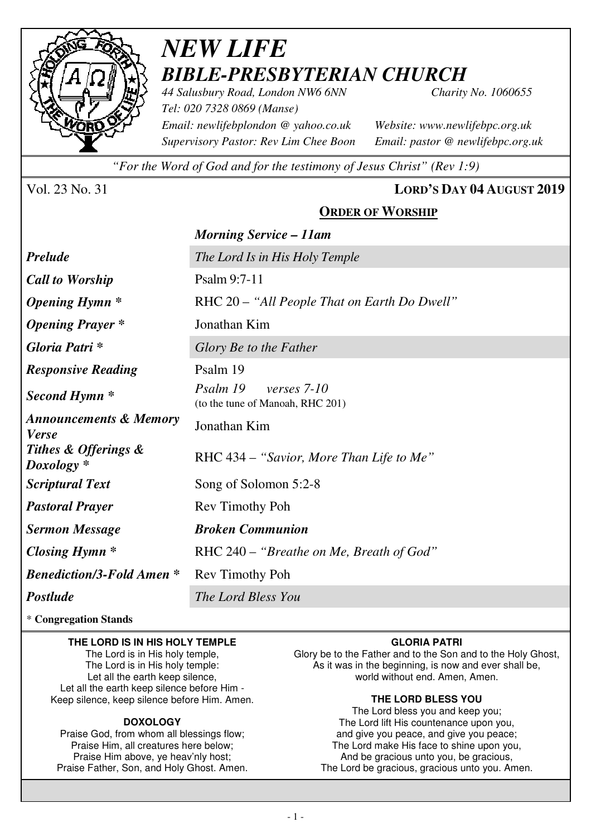

## *NEW LIFE BIBLE-PRESBYTERIAN CHURCH 44 Salusbury Road, London NW6 6NN Charity No. 1060655*

*Tel: 020 7328 0869 (Manse) Email: newlifebplondon @ yahoo.co.uk Website: www.newlifebpc.org.uk Supervisory Pastor: Rev Lim Chee Boon Email: pastor @ newlifebpc.org.uk* 

*"For the Word of God and for the testimony of Jesus Christ" (Rev 1:9)*

### Vol. 23 No. 31 **LORD'S DAY 04 AUGUST 2019**

## **ORDER OF WORSHIP**

|                                                   | <b>Morning Service – 11am</b>                               |  |  |
|---------------------------------------------------|-------------------------------------------------------------|--|--|
| <b>Prelude</b>                                    | The Lord Is in His Holy Temple                              |  |  |
| <b>Call to Worship</b>                            | Psalm 9:7-11                                                |  |  |
| <i><b>Opening Hymn</b></i> *                      | RHC 20 – "All People That on Earth Do Dwell"                |  |  |
| <b>Opening Prayer</b> *                           | Jonathan Kim                                                |  |  |
| Gloria Patri*                                     | Glory Be to the Father                                      |  |  |
| <b>Responsive Reading</b>                         | Psalm 19                                                    |  |  |
| Second Hymn <sup>*</sup>                          | Psalm 19<br>verses 7-10<br>(to the tune of Manoah, RHC 201) |  |  |
| <b>Announcements &amp; Memory</b><br><b>Verse</b> | Jonathan Kim                                                |  |  |
| Tithes & Offerings &<br>$Doxology *$              | RHC 434 – "Savior, More Than Life to Me"                    |  |  |
| <b>Scriptural Text</b>                            | Song of Solomon 5:2-8                                       |  |  |
| <b>Pastoral Prayer</b>                            | Rev Timothy Poh                                             |  |  |
| <b>Sermon Message</b>                             | <b>Broken Communion</b>                                     |  |  |
| Closing Hymn $*$                                  | RHC 240 – "Breathe on Me, Breath of God"                    |  |  |
| <b>Benediction/3-Fold Amen *</b>                  | Rev Timothy Poh                                             |  |  |
| Postlude                                          | The Lord Bless You                                          |  |  |
|                                                   |                                                             |  |  |

#### \* **Congregation Stands**

#### **THE LORD IS IN HIS HOLY TEMPLE**

The Lord is in His holy temple, The Lord is in His holy temple: Let all the earth keep silence, Let all the earth keep silence before Him - Keep silence, keep silence before Him. Amen.

#### **DOXOLOGY**

Praise God, from whom all blessings flow; Praise Him, all creatures here below; Praise Him above, ye heav'nly host; Praise Father, Son, and Holy Ghost. Amen.

#### **GLORIA PATRI**

Glory be to the Father and to the Son and to the Holy Ghost, As it was in the beginning, is now and ever shall be, world without end. Amen, Amen.

#### **THE LORD BLESS YOU**

The Lord bless you and keep you; The Lord lift His countenance upon you, and give you peace, and give you peace; The Lord make His face to shine upon you, And be gracious unto you, be gracious, The Lord be gracious, gracious unto you. Amen.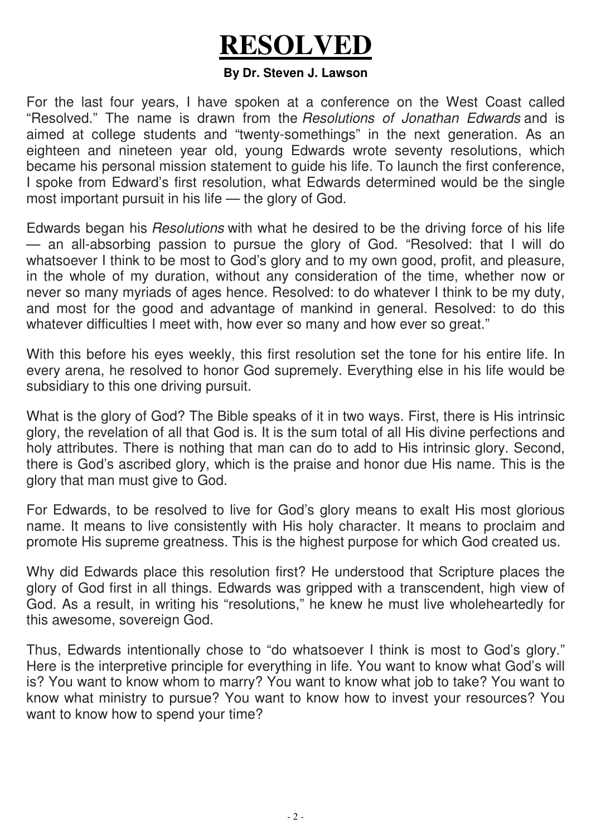# **RESOLVED**

### **By Dr. Steven J. Lawson**

For the last four years, I have spoken at a conference on the West Coast called "Resolved." The name is drawn from the *Resolutions of Jonathan Edwards* and is aimed at college students and "twenty-somethings" in the next generation. As an eighteen and nineteen year old, young Edwards wrote seventy resolutions, which became his personal mission statement to guide his life. To launch the first conference, I spoke from Edward's first resolution, what Edwards determined would be the single most important pursuit in his life — the glory of God.

Edwards began his *Resolutions* with what he desired to be the driving force of his life — an all-absorbing passion to pursue the glory of God. "Resolved: that I will do whatsoever I think to be most to God's glory and to my own good, profit, and pleasure, in the whole of my duration, without any consideration of the time, whether now or never so many myriads of ages hence. Resolved: to do whatever I think to be my duty, and most for the good and advantage of mankind in general. Resolved: to do this whatever difficulties I meet with, how ever so many and how ever so great."

With this before his eyes weekly, this first resolution set the tone for his entire life. In every arena, he resolved to honor God supremely. Everything else in his life would be subsidiary to this one driving pursuit.

What is the glory of God? The Bible speaks of it in two ways. First, there is His intrinsic glory, the revelation of all that God is. It is the sum total of all His divine perfections and holy attributes. There is nothing that man can do to add to His intrinsic glory. Second, there is God's ascribed glory, which is the praise and honor due His name. This is the glory that man must give to God.

For Edwards, to be resolved to live for God's glory means to exalt His most glorious name. It means to live consistently with His holy character. It means to proclaim and promote His supreme greatness. This is the highest purpose for which God created us.

Why did Edwards place this resolution first? He understood that Scripture places the glory of God first in all things. Edwards was gripped with a transcendent, high view of God. As a result, in writing his "resolutions," he knew he must live wholeheartedly for this awesome, sovereign God.

Thus, Edwards intentionally chose to "do whatsoever I think is most to God's glory." Here is the interpretive principle for everything in life. You want to know what God's will is? You want to know whom to marry? You want to know what job to take? You want to know what ministry to pursue? You want to know how to invest your resources? You want to know how to spend your time?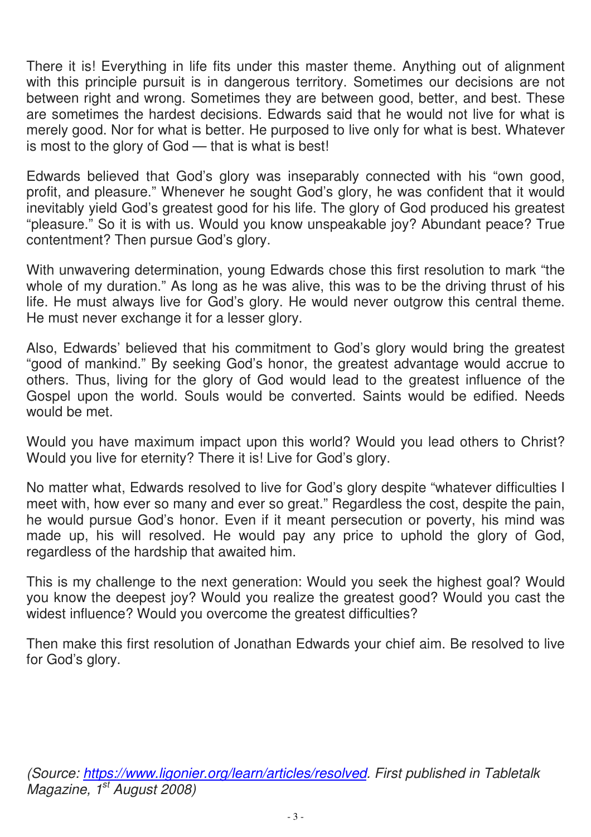There it is! Everything in life fits under this master theme. Anything out of alignment with this principle pursuit is in dangerous territory. Sometimes our decisions are not between right and wrong. Sometimes they are between good, better, and best. These are sometimes the hardest decisions. Edwards said that he would not live for what is merely good. Nor for what is better. He purposed to live only for what is best. Whatever is most to the glory of God — that is what is best!

Edwards believed that God's glory was inseparably connected with his "own good, profit, and pleasure." Whenever he sought God's glory, he was confident that it would inevitably yield God's greatest good for his life. The glory of God produced his greatest "pleasure." So it is with us. Would you know unspeakable joy? Abundant peace? True contentment? Then pursue God's glory.

With unwavering determination, young Edwards chose this first resolution to mark "the whole of my duration." As long as he was alive, this was to be the driving thrust of his life. He must always live for God's glory. He would never outgrow this central theme. He must never exchange it for a lesser glory.

Also, Edwards' believed that his commitment to God's glory would bring the greatest "good of mankind." By seeking God's honor, the greatest advantage would accrue to others. Thus, living for the glory of God would lead to the greatest influence of the Gospel upon the world. Souls would be converted. Saints would be edified. Needs would be met.

Would you have maximum impact upon this world? Would you lead others to Christ? Would you live for eternity? There it is! Live for God's glory.

No matter what, Edwards resolved to live for God's glory despite "whatever difficulties I meet with, how ever so many and ever so great." Regardless the cost, despite the pain, he would pursue God's honor. Even if it meant persecution or poverty, his mind was made up, his will resolved. He would pay any price to uphold the glory of God, regardless of the hardship that awaited him.

This is my challenge to the next generation: Would you seek the highest goal? Would you know the deepest joy? Would you realize the greatest good? Would you cast the widest influence? Would you overcome the greatest difficulties?

Then make this first resolution of Jonathan Edwards your chief aim. Be resolved to live for God's glory.

*(Source: https://www.ligonier.org/learn/articles/resolved. First published in Tabletalk Magazine, 1st August 2008)*